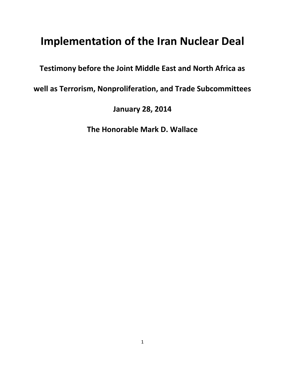# **Implementation of the Iran Nuclear Deal**

# **Testimony before the Joint Middle East and North Africa as**

**well as Terrorism, Nonproliferation, and Trade Subcommittees**

**January 28, 2014**

**The Honorable Mark D. Wallace**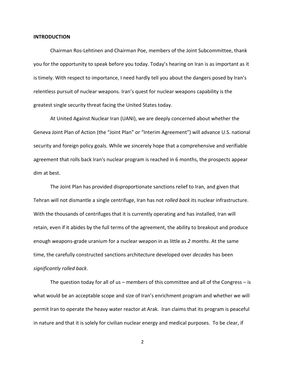#### **INTRODUCTION**

Chairman Ros-Lehtinen and Chairman Poe, members of the Joint Subcommittee, thank you for the opportunity to speak before you today. Today's hearing on Iran is as important as it is timely. With respect to importance, I need hardly tell you about the dangers posed by Iran's relentless pursuit of nuclear weapons. Iran's quest for nuclear weapons capability is the greatest single security threat facing the United States today.

At United Against Nuclear Iran (UANI), we are deeply concerned about whether the Geneva Joint Plan of Action (the "Joint Plan" or "Interim Agreement") will advance U.S. national security and foreign policy goals. While we sincerely hope that a comprehensive and verifiable agreement that rolls back Iran's nuclear program is reached in 6 months, the prospects appear dim at best.

The Joint Plan has provided disproportionate sanctions relief to Iran, and given that Tehran will not dismantle a single centrifuge, Iran has not *rolled back* its nuclear infrastructure. With the thousands of centrifuges that it is currently operating and has installed, Iran will retain, even if it abides by the full terms of the agreement, the ability to breakout and produce enough weapons-grade uranium for a nuclear weapon in as little as *2 months*. At the same time, the carefully constructed sanctions architecture developed over *decades* has been *significantly rolled back*.

The question today for all of us – members of this committee and all of the Congress – is what would be an acceptable scope and size of Iran's enrichment program and whether we will permit Iran to operate the heavy water reactor at Arak. Iran claims that its program is peaceful in nature and that it is solely for civilian nuclear energy and medical purposes. To be clear, if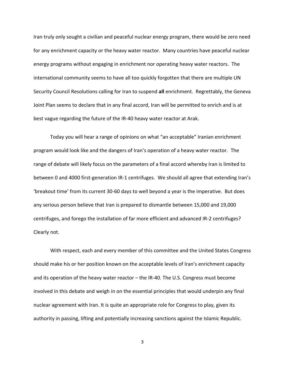Iran truly only sought a civilian and peaceful nuclear energy program, there would be zero need for any enrichment capacity or the heavy water reactor. Many countries have peaceful nuclear energy programs without engaging in enrichment nor operating heavy water reactors. The international community seems to have all too quickly forgotten that there are multiple UN Security Council Resolutions calling for Iran to suspend **all** enrichment. Regrettably, the Geneva Joint Plan seems to declare that in any final accord, Iran will be permitted to enrich and is at best vague regarding the future of the IR-40 heavy water reactor at Arak.

Today you will hear a range of opinions on what "an acceptable" Iranian enrichment program would look like and the dangers of Iran's operation of a heavy water reactor. The range of debate will likely focus on the parameters of a final accord whereby Iran is limited to between 0 and 4000 first-generation IR-1 centrifuges. We should all agree that extending Iran's 'breakout time' from its current 30-60 days to well beyond a year is the imperative. But does any serious person believe that Iran is prepared to dismantle between 15,000 and 19,000 centrifuges, and forego the installation of far more efficient and advanced IR-2 centrifuges? Clearly not.

With respect, each and every member of this committee and the United States Congress should make his or her position known on the acceptable levels of Iran's enrichment capacity and its operation of the heavy water reactor – the IR-40. The U.S. Congress must become involved in this debate and weigh in on the essential principles that would underpin any final nuclear agreement with Iran. It is quite an appropriate role for Congress to play, given its authority in passing, lifting and potentially increasing sanctions against the Islamic Republic.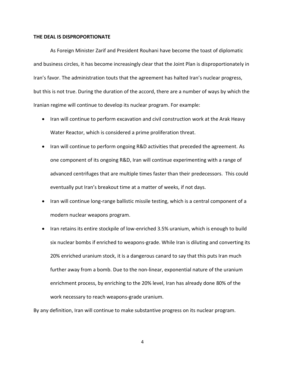#### **THE DEAL IS DISPROPORTIONATE**

As Foreign Minister Zarif and President Rouhani have become the toast of diplomatic and business circles, it has become increasingly clear that the Joint Plan is disproportionately in Iran's favor. The administration touts that the agreement has halted Iran's nuclear progress, but this is not true. During the duration of the accord, there are a number of ways by which the Iranian regime will continue to develop its nuclear program. For example:

- Iran will continue to perform excavation and civil construction work at the Arak Heavy Water Reactor, which is considered a prime proliferation threat.
- Iran will continue to perform ongoing R&D activities that preceded the agreement. As one component of its ongoing R&D, Iran will continue experimenting with a range of advanced centrifuges that are multiple times faster than their predecessors. This could eventually put Iran's breakout time at a matter of weeks, if not days.
- Iran will continue long-range ballistic missile testing, which is a central component of a modern nuclear weapons program.
- Iran retains its entire stockpile of low-enriched 3.5% uranium, which is enough to build six nuclear bombs if enriched to weapons-grade. While Iran is diluting and converting its 20% enriched uranium stock, it is a dangerous canard to say that this puts Iran much further away from a bomb. Due to the non-linear, exponential nature of the uranium enrichment process, by enriching to the 20% level, Iran has already done 80% of the work necessary to reach weapons-grade uranium.

By any definition, Iran will continue to make substantive progress on its nuclear program.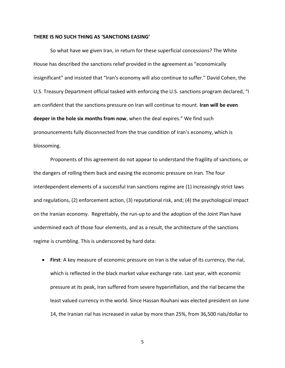## **THERE IS NO SUCH THING AS 'SANCTIONS EASING'**

So what have we given Iran, in return for these superficial concessions? The White House has described the sanctions relief provided in the agreement as "economically insignificant" and insisted that "Iran's economy will also continue to suffer." David Cohen, the U.S. Treasury Department official tasked with enforcing the U.S. sanctions program declared, "I am confident that the sanctions pressure on Iran will continue to mount. **Iran will be even deeper in the hole six months from now**, when the deal expires." We find such pronouncements fully disconnected from the true condition of Iran's economy, which is blossoming.

Proponents of this agreement do not appear to understand the fragility of sanctions, or the dangers of rolling them back and easing the economic pressure on Iran. The four interdependent elements of a successful Iran sanctions regime are (1) increasingly strict laws and regulations, (2) enforcement action, (3) reputational risk, and; (4) the psychological impact on the Iranian economy. Regrettably, the run-up to and the adoption of the Joint Plan have undermined each of those four elements, and as a result, the architecture of the sanctions regime is crumbling. This is underscored by hard data:

 **First**: A key measure of economic pressure on Iran is the value of its currency, the rial, which is reflected in the black market value exchange rate. Last year, with economic pressure at its peak, Iran suffered from severe hyperinflation, and the rial became the least valued currency in the world. Since Hassan Rouhani was elected president on June 14, the Iranian rial has increased in value by more than 25%, from 36,500 rials/dollar to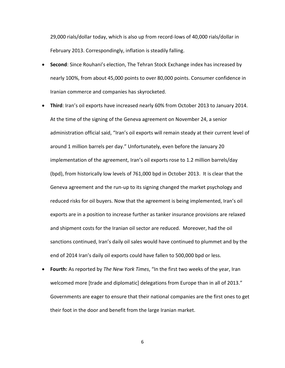29,000 rials/dollar today, which is also up from record-lows of 40,000 rials/dollar in February 2013. Correspondingly, inflation is steadily falling.

- **Second**: Since Rouhani's election, The Tehran Stock Exchange index has increased by nearly 100%, from about 45,000 points to over 80,000 points. Consumer confidence in Iranian commerce and companies has skyrocketed.
- **Third**: Iran's oil exports have increased nearly 60% from October 2013 to January 2014. At the time of the signing of the Geneva agreement on November 24, a senior administration official said, ["Iran's oil exports will remain steady at their current level of](http://iipdigital.usembassy.gov/st/english/texttrans/2013/11/20131124287804.html#axzz2r9NQNPTx)  [around 1 million barrels per day](http://iipdigital.usembassy.gov/st/english/texttrans/2013/11/20131124287804.html#axzz2r9NQNPTx)." Unfortunately, even before the January 20 implementation of the agreement, Iran's oil exports rose [to 1.2 million barrels/day](http://in.reuters.com/article/2014/01/22/iran-oil-exports-idINDEEA0L0BC20140122http:/in.reuters.com/article/2014/01/22/iran-oil-exports-idINDEEA0L0BC20140122)  [\(bpd\),](http://in.reuters.com/article/2014/01/22/iran-oil-exports-idINDEEA0L0BC20140122http:/in.reuters.com/article/2014/01/22/iran-oil-exports-idINDEEA0L0BC20140122) from [historically low levels of 761,000 bpd in October 2013.](http://eaworldview.com/2013/12/iran-today-despite-us-sanctions-tehran-maintains-interim-nuclear-deal/) It is clear that the Geneva agreement and the run-up to its signin[g changed the market psychology and](http://in.reuters.com/article/2014/01/22/iran-oil-exports-idINDEEA0L0BC20140122http:/in.reuters.com/article/2014/01/22/iran-oil-exports-idINDEEA0L0BC20140122)  [reduced risks for oil buyers.](http://in.reuters.com/article/2014/01/22/iran-oil-exports-idINDEEA0L0BC20140122http:/in.reuters.com/article/2014/01/22/iran-oil-exports-idINDEEA0L0BC20140122) Now that the agreement is being implemented, Iran's oil exports are in a position to increase further as tanker insurance provisions are relaxed and shipment costs for the Iranian oil sector are reduced. Moreover, had the oil sanctions continued, Iran's daily oil sales would have continued to plummet and by the end of 2014 Iran's daily oil exports could have fallen to 500,000 bpd or less.
- **Fourth:** As reported by *The New York Times*, "In the first two weeks of the year, Iran welcomed more [trade and diplomatic] delegations from Europe than in all of 2013." Governments are eager to ensure that their national companies are the first ones to get their foot in the door and benefit from the large Iranian market.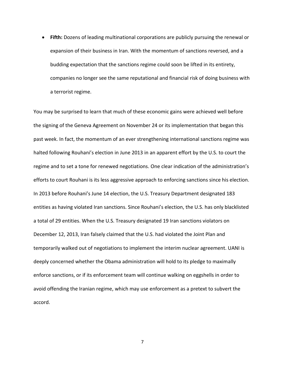**Fifth:** Dozens of leading multinational corporations are publicly pursuing the renewal or expansion of their business in Iran. With the momentum of sanctions reversed, and a budding expectation that the sanctions regime could soon be lifted in its entirety, companies no longer see the same reputational and financial risk of doing business with a terrorist regime.

You may be surprised to learn that much of these economic gains were achieved well before the signing of the Geneva Agreement on November 24 or its implementation that began this past week. In fact, the momentum of an ever strengthening international sanctions regime was halted following Rouhani's election in June 2013 in an apparent effort by the U.S. to court the regime and to set a tone for renewed negotiations. One clear indication of the administration's efforts to court Rouhani is its less aggressive approach to enforcing sanctions since his election. In 2013 before Rouhani's June 14 election, the U.S. Treasury Department designated 183 entities as having violated Iran sanctions. Since Rouhani's election, the U.S. has only blacklisted a total of 29 entities. When the U.S. Treasury designated 19 Iran sanctions violators on December 12, 2013, Iran falsely claimed that the U.S. had violated the Joint Plan and temporarily walked out of negotiations to implement the interim nuclear agreement. UANI is deeply concerned whether the Obama administration will hold to its pledge to maximally enforce sanctions, or if its enforcement team will continue walking on eggshells in order to avoid offending the Iranian regime, which may use enforcement as a pretext to subvert the accord.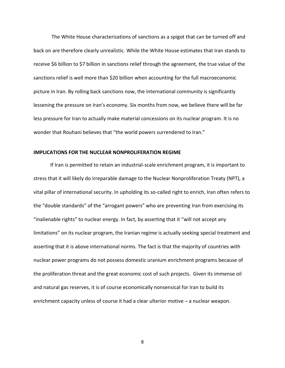The White House characterizations of sanctions as a spigot that can be turned off and back on are therefore clearly unrealistic. While the White House estimates that Iran stands to receive \$6 billion to \$7 billion in sanctions relief through the agreement, the true value of the sanctions relief is well more than \$20 billion when accounting for the full macroeconomic picture in Iran. By rolling back sanctions now, the international community is significantly lessening the pressure on Iran's economy. Six months from now, we believe there will be far less pressure for Iran to actually make material concessions on its nuclear program. It is no wonder that Rouhani believes that "the world powers surrendered to Iran."

# **IMPLICATIONS FOR THE NUCLEAR NONPROLIFERATION REGIME**

If Iran is permitted to retain an industrial-scale enrichment program, it is important to stress that it will likely do irreparable damage to the Nuclear Nonproliferation Treaty (NPT), a vital pillar of international security. In upholding its so-called right to enrich, Iran often refers to the "double standards" of the "arrogant powers" who are preventing Iran from exercising its "inalienable rights" to nuclear energy. In fact, by asserting that it "will not accept any limitations" on its nuclear program, the Iranian regime is actually seeking special treatment and asserting that it is above international norms. The fact is that the majority of countries with nuclear power programs do not possess domestic uranium enrichment programs because of the proliferation threat and the great economic cost of such projects. Given its immense oil and natural gas reserves, it is of course economically nonsensical for Iran to build its enrichment capacity unless of course it had a clear ulterior motive – a nuclear weapon.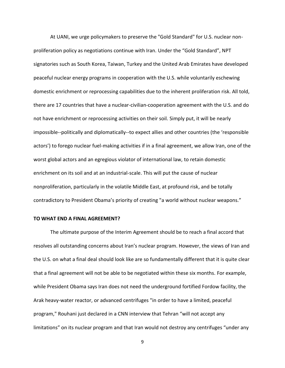At UANI, we urge policymakers to preserve the "Gold Standard" for U.S. nuclear nonproliferation policy as negotiations continue with Iran. Under the "Gold Standard", NPT signatories such as South Korea, Taiwan, Turkey and the United Arab Emirates have developed peaceful nuclear energy programs in cooperation with the U.S. while voluntarily eschewing domestic enrichment or reprocessing capabilities due to the inherent proliferation risk. All told, there are 17 countries that have a nuclear-civilian-cooperation agreement with the U.S. and do not have enrichment or reprocessing activities on their soil. Simply put, it will be nearly impossible--politically and diplomatically--to expect allies and other countries (the 'responsible actors') to forego nuclear fuel-making activities if in a final agreement, we allow Iran, one of the worst global actors and an egregious violator of international law, to retain domestic enrichment on its soil and at an industrial-scale. This will put the cause of nuclear nonproliferation, particularly in the volatile Middle East, at profound risk, and be totally contradictory to President Obama's priority of creating "a world without nuclear weapons."

## **TO WHAT END A FINAL AGREEMENT?**

The ultimate purpose of the Interim Agreement should be to reach a final accord that resolves all outstanding concerns about Iran's nuclear program. However, the views of Iran and the U.S. on what a final deal should look like are so fundamentally different that it is quite clear that a final agreement will not be able to be negotiated within these six months. For example, while President Obama says Iran does not need the underground fortified Fordow facility, the Arak heavy-water reactor, or advanced centrifuges "in order to have a limited, peaceful program," Rouhani just declared in a CNN interview that Tehran "will not accept any limitations" on its nuclear program and that Iran would not destroy any centrifuges "under any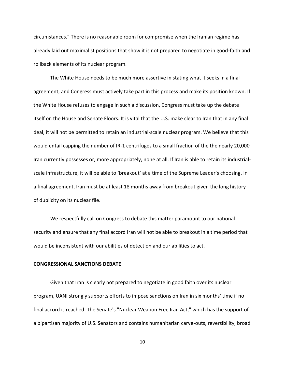circumstances." There is no reasonable room for compromise when the Iranian regime has already laid out maximalist positions that show it is not prepared to negotiate in good-faith and rollback elements of its nuclear program.

The White House needs to be much more assertive in stating what it seeks in a final agreement, and Congress must actively take part in this process and make its position known. If the White House refuses to engage in such a discussion, Congress must take up the debate itself on the House and Senate Floors. It is vital that the U.S. make clear to Iran that in any final deal, it will not be permitted to retain an industrial-scale nuclear program. We believe that this would entail capping the number of IR-1 centrifuges to a small fraction of the the nearly 20,000 Iran currently possesses or, more appropriately, none at all. If Iran is able to retain its industrialscale infrastructure, it will be able to 'breakout' at a time of the Supreme Leader's choosing. In a final agreement, Iran must be at least 18 months away from breakout given the long history of duplicity on its nuclear file.

We respectfully call on Congress to debate this matter paramount to our national security and ensure that any final accord Iran will not be able to breakout in a time period that would be inconsistent with our abilities of detection and our abilities to act.

## **CONGRESSIONAL SANCTIONS DEBATE**

Given that Iran is clearly not prepared to negotiate in good faith over its nuclear program, UANI strongly supports efforts to impose sanctions on Iran in six months' time if no final accord is reached. The Senate's "Nuclear Weapon Free Iran Act," which has the support of a bipartisan majority of U.S. Senators and contains humanitarian carve-outs, reversibility, broad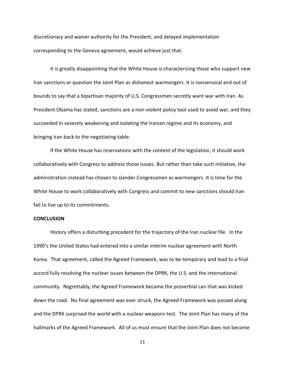discretionary and waiver authority for the President, and delayed implementation corresponding to the Geneva agreement, would achieve just that.

It is greatly disappointing that the White House is characterizing those who support new Iran sanctions or question the Joint Plan as dishonest warmongers. It is nonsensical and out of bounds to say that a bipartisan majority of U.S. Congressmen secretly want war with Iran. As President Obama has stated, sanctions are a non-violent policy tool used to avoid war, and they succeeded in severely weakening and isolating the Iranian regime and its economy, and bringing Iran back to the negotiating table.

If the White House has reservations with the content of the legislation, it should work collaboratively with Congress to address those issues. But rather than take such initiative, the administration instead has chosen to slander Congressmen as warmongers. It is time for the White House to work collaboratively with Congress and commit to new sanctions should Iran fail to live up to its commitments.

#### **CONCLUSION**

History offers a disturbing precedent for the trajectory of the Iran nuclear file. In the 1990's the United States had entered into a similar interim nuclear agreement with North Korea. That agreement, called the Agreed Framework, was to be temporary and lead to a final accord fully resolving the nuclear issues between the DPRK, the U.S. and the international community. Regrettably, the Agreed Framework became the proverbial can that was kicked down the road. No final agreement was ever struck, the Agreed Framework was passed along and the DPRK surprised the world with a nuclear weapons test. The Joint Plan has many of the hallmarks of the Agreed Framework. All of us must ensure that the Joint Plan does not become